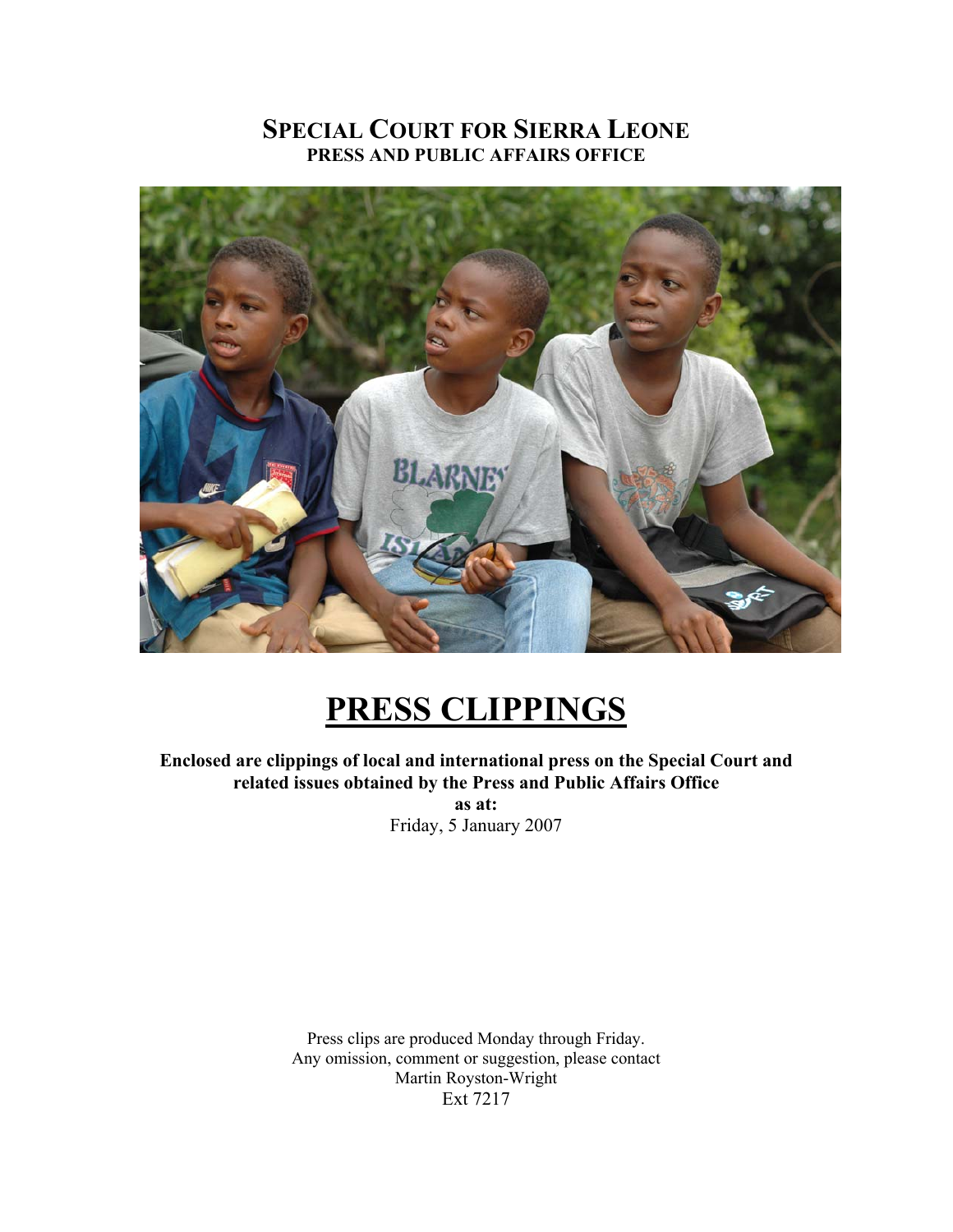# **SPECIAL COURT FOR SIERRA LEONE PRESS AND PUBLIC AFFAIRS OFFICE**



# **PRESS CLIPPINGS**

**Enclosed are clippings of local and international press on the Special Court and related issues obtained by the Press and Public Affairs Office as at:**  Friday, 5 January 2007

> Press clips are produced Monday through Friday. Any omission, comment or suggestion, please contact Martin Royston-Wright Ext 7217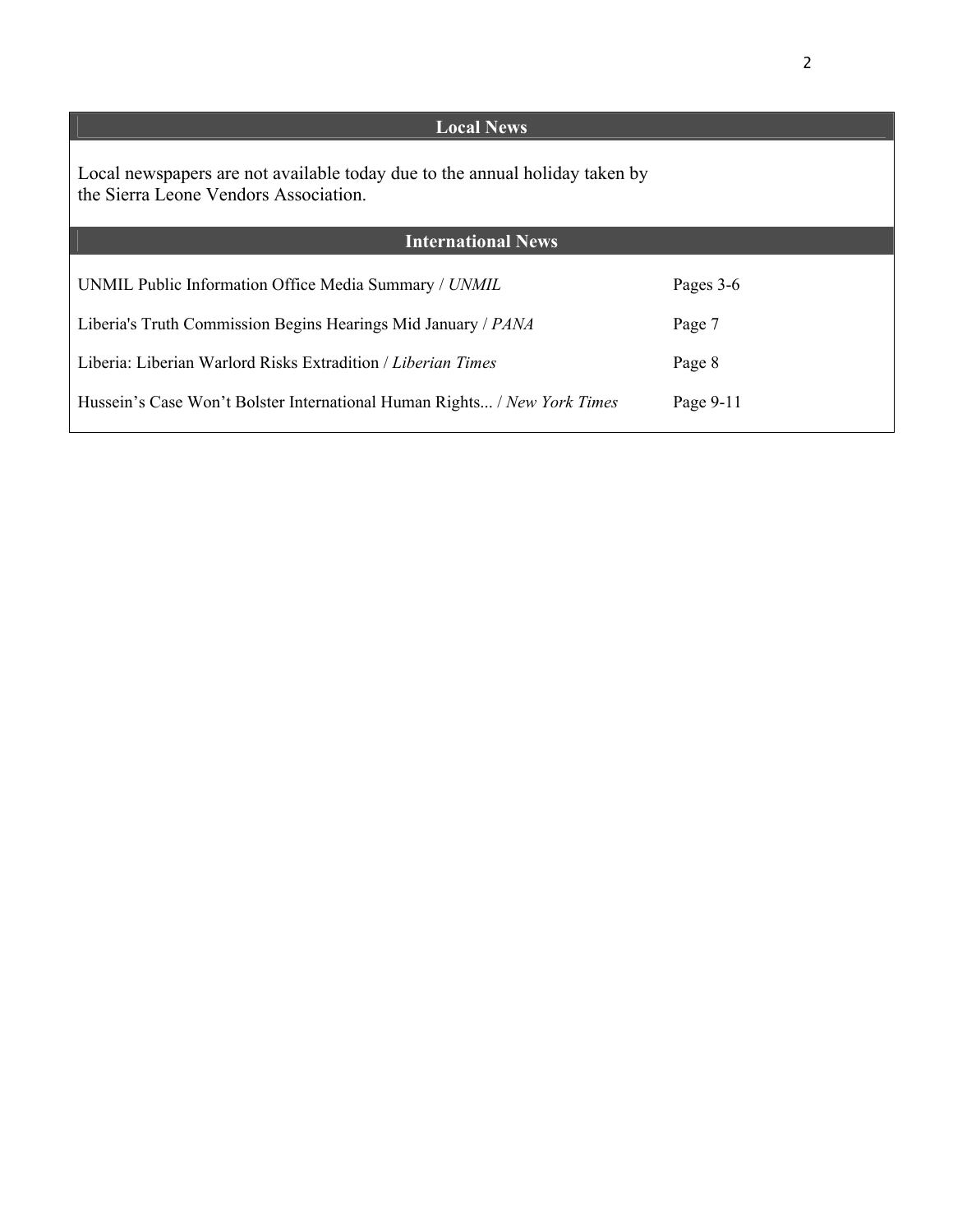| <b>Local News</b>                                                                                                    |           |
|----------------------------------------------------------------------------------------------------------------------|-----------|
| Local newspapers are not available today due to the annual holiday taken by<br>the Sierra Leone Vendors Association. |           |
| <b>International News</b>                                                                                            |           |
| UNMIL Public Information Office Media Summary / UNMIL                                                                | Pages 3-6 |
| Liberia's Truth Commission Begins Hearings Mid January / PANA                                                        | Page 7    |
| Liberia: Liberian Warlord Risks Extradition / Liberian Times                                                         | Page 8    |
| Hussein's Case Won't Bolster International Human Rights / New York Times                                             | Page 9-11 |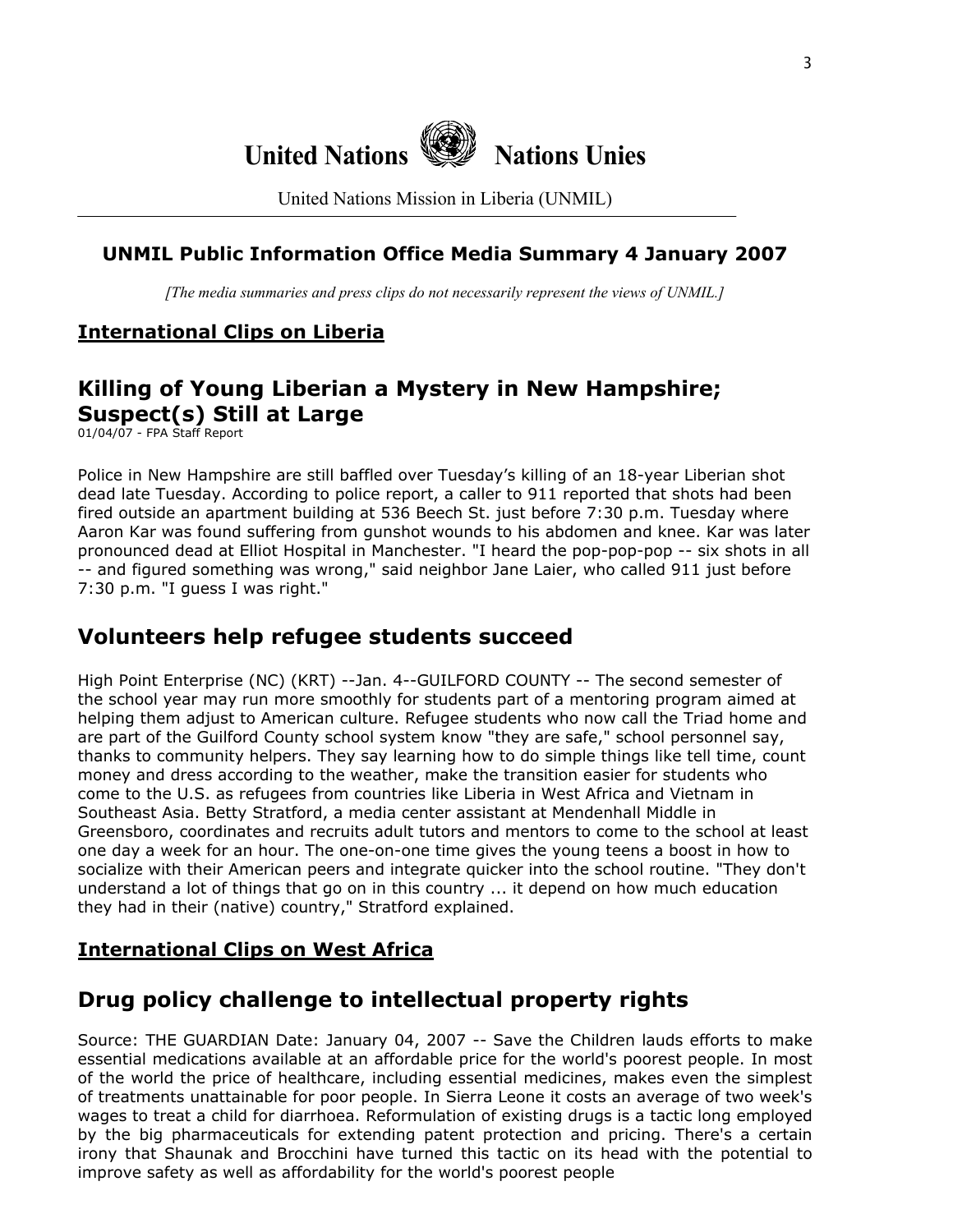

United Nations Mission in Liberia (UNMIL)

### **UNMIL Public Information Office Media Summary 4 January 2007**

*[The media summaries and press clips do not necessarily represent the views of UNMIL.]*

# **International Clips on Liberia**

# **Killing of Young Liberian a Mystery in New Hampshire; Suspect(s) Still at Large**

01/04/07 - FPA Staff Report

Police in New Hampshire are still baffled over Tuesday's killing of an 18-year Liberian shot dead late Tuesday. According to police report, a caller to 911 reported that shots had been fired outside an apartment building at 536 Beech St. just before 7:30 p.m. Tuesday where Aaron Kar was found suffering from gunshot wounds to his abdomen and knee. Kar was later pronounced dead at Elliot Hospital in Manchester. "I heard the pop-pop-pop -- six shots in all -- and figured something was wrong," said neighbor Jane Laier, who called 911 just before 7:30 p.m. "I guess I was right."

# **Volunteers help refugee students succeed**

High Point Enterprise (NC) (KRT) --Jan. 4--GUILFORD COUNTY -- The second semester of the school year may run more smoothly for students part of a mentoring program aimed at helping them adjust to American culture. Refugee students who now call the Triad home and are part of the Guilford County school system know "they are safe," school personnel say, thanks to community helpers. They say learning how to do simple things like tell time, count money and dress according to the weather, make the transition easier for students who come to the U.S. as refugees from countries like Liberia in West Africa and Vietnam in Southeast Asia. Betty Stratford, a media center assistant at Mendenhall Middle in Greensboro, coordinates and recruits adult tutors and mentors to come to the school at least one day a week for an hour. The one-on-one time gives the young teens a boost in how to socialize with their American peers and integrate quicker into the school routine. "They don't understand a lot of things that go on in this country ... it depend on how much education they had in their (native) country," Stratford explained.

### **International Clips on West Africa**

# **Drug policy challenge to intellectual property rights**

Source: THE GUARDIAN Date: January 04, 2007 -- Save the Children lauds efforts to make essential medications available at an affordable price for the world's poorest people. In most of the world the price of healthcare, including essential medicines, makes even the simplest of treatments unattainable for poor people. In Sierra Leone it costs an average of two week's wages to treat a child for diarrhoea. Reformulation of existing drugs is a tactic long employed by the big pharmaceuticals for extending patent protection and pricing. There's a certain irony that Shaunak and Brocchini have turned this tactic on its head with the potential to improve safety as well as affordability for the world's poorest people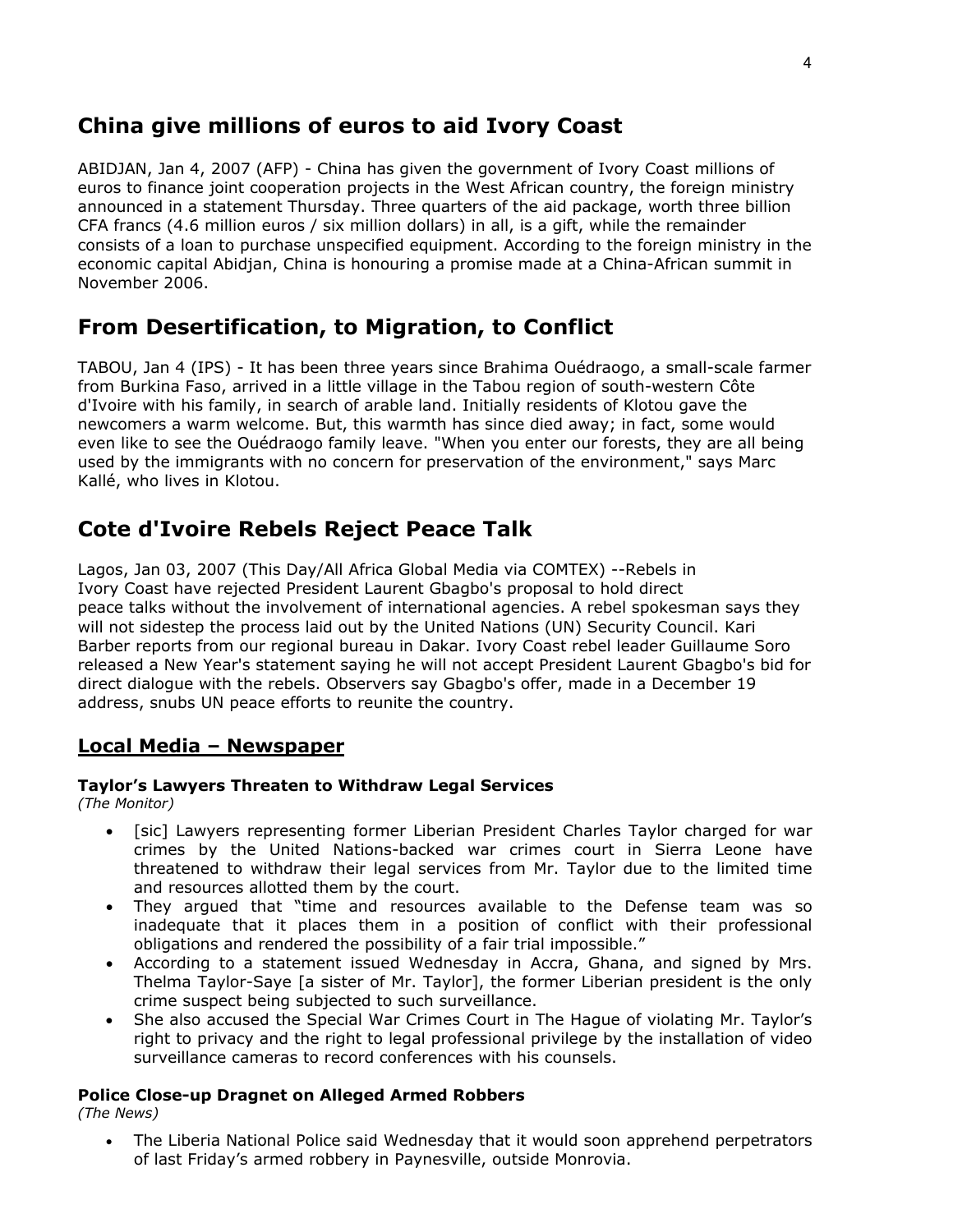# **China give millions of euros to aid Ivory Coast**

ABIDJAN, Jan 4, 2007 (AFP) - China has given the government of Ivory Coast millions of euros to finance joint cooperation projects in the West African country, the foreign ministry announced in a statement Thursday. Three quarters of the aid package, worth three billion CFA francs (4.6 million euros / six million dollars) in all, is a gift, while the remainder consists of a loan to purchase unspecified equipment. According to the foreign ministry in the economic capital Abidjan, China is honouring a promise made at a China-African summit in November 2006.

# **From Desertification, to Migration, to Conflict**

TABOU, Jan 4 (IPS) - It has been three years since Brahima Ouédraogo, a small-scale farmer from Burkina Faso, arrived in a little village in the Tabou region of south-western Côte d'Ivoire with his family, in search of arable land. Initially residents of Klotou gave the newcomers a warm welcome. But, this warmth has since died away; in fact, some would even like to see the Ouédraogo family leave. "When you enter our forests, they are all being used by the immigrants with no concern for preservation of the environment," says Marc Kallé, who lives in Klotou.

# **Cote d'Ivoire Rebels Reject Peace Talk**

Lagos, Jan 03, 2007 (This Day/All Africa Global Media via COMTEX) --Rebels in Ivory Coast have rejected President Laurent Gbagbo's proposal to hold direct peace talks without the involvement of international agencies. A rebel spokesman says they will not sidestep the process laid out by the United Nations (UN) Security Council. Kari Barber reports from our regional bureau in Dakar. Ivory Coast rebel leader Guillaume Soro released a New Year's statement saying he will not accept President Laurent Gbagbo's bid for direct dialogue with the rebels. Observers say Gbagbo's offer, made in a December 19 address, snubs UN peace efforts to reunite the country.

### **Local Media – Newspaper**

#### **Taylor's Lawyers Threaten to Withdraw Legal Services**

*(The Monitor)* 

- [sic] Lawyers representing former Liberian President Charles Taylor charged for war crimes by the United Nations-backed war crimes court in Sierra Leone have threatened to withdraw their legal services from Mr. Taylor due to the limited time and resources allotted them by the court.
- They argued that "time and resources available to the Defense team was so inadequate that it places them in a position of conflict with their professional obligations and rendered the possibility of a fair trial impossible."
- According to a statement issued Wednesday in Accra, Ghana, and signed by Mrs. Thelma Taylor-Saye [a sister of Mr. Taylor], the former Liberian president is the only crime suspect being subjected to such surveillance.
- She also accused the Special War Crimes Court in The Hague of violating Mr. Taylor's right to privacy and the right to legal professional privilege by the installation of video surveillance cameras to record conferences with his counsels.

#### **Police Close-up Dragnet on Alleged Armed Robbers**

*(The News)* 

• The Liberia National Police said Wednesday that it would soon apprehend perpetrators of last Friday's armed robbery in Paynesville, outside Monrovia.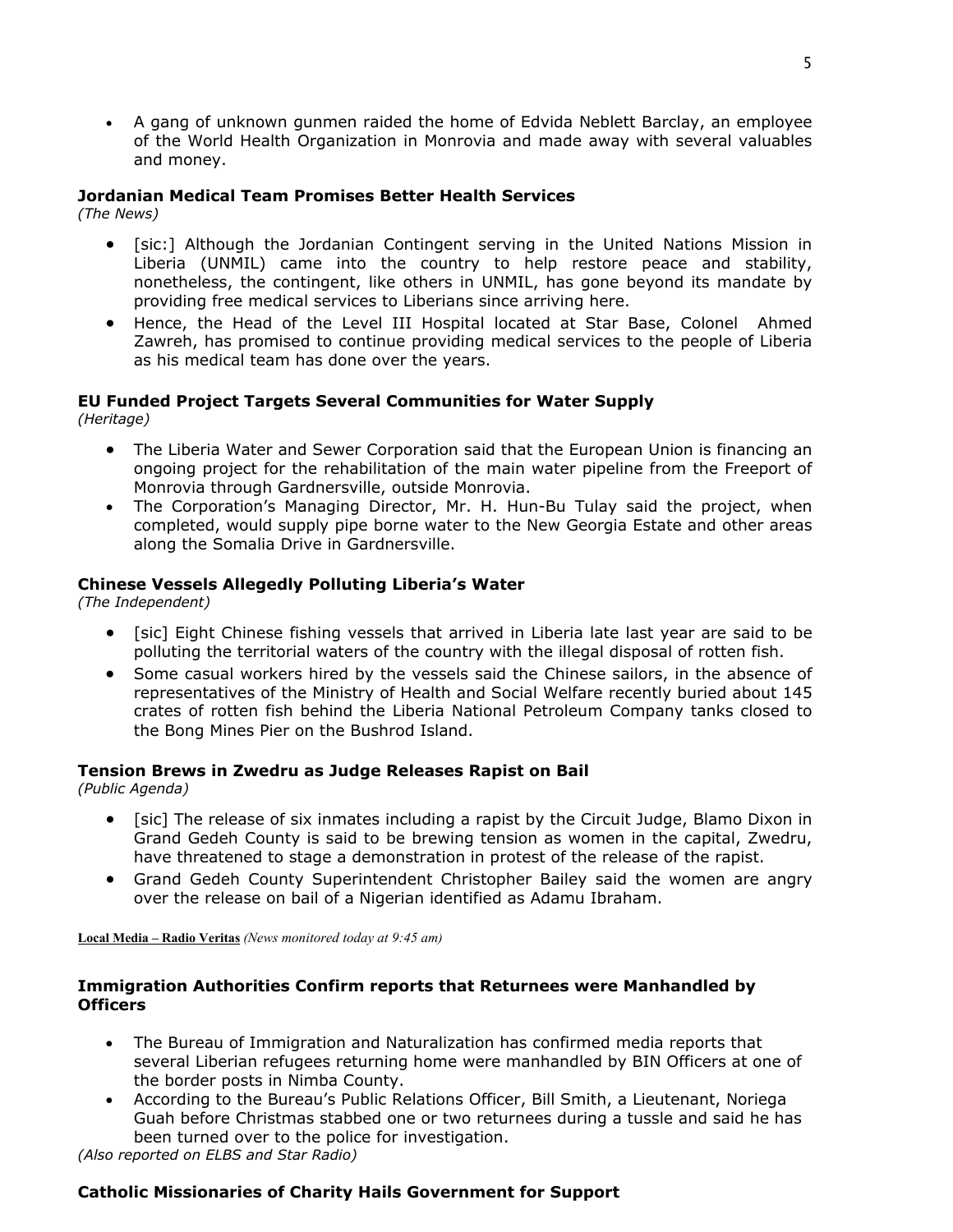• A gang of unknown gunmen raided the home of Edvida Neblett Barclay, an employee of the World Health Organization in Monrovia and made away with several valuables and money.

#### **Jordanian Medical Team Promises Better Health Services**

*(The News)*

- [sic:] Although the Jordanian Contingent serving in the United Nations Mission in Liberia (UNMIL) came into the country to help restore peace and stability, nonetheless, the contingent, like others in UNMIL, has gone beyond its mandate by providing free medical services to Liberians since arriving here.
- Hence, the Head of the Level III Hospital located at Star Base, Colonel Ahmed Zawreh, has promised to continue providing medical services to the people of Liberia as his medical team has done over the years.

#### **EU Funded Project Targets Several Communities for Water Supply**

*(Heritage)*

- The Liberia Water and Sewer Corporation said that the European Union is financing an ongoing project for the rehabilitation of the main water pipeline from the Freeport of Monrovia through Gardnersville, outside Monrovia.
- The Corporation's Managing Director, Mr. H. Hun-Bu Tulay said the project, when completed, would supply pipe borne water to the New Georgia Estate and other areas along the Somalia Drive in Gardnersville.

#### **Chinese Vessels Allegedly Polluting Liberia's Water**

*(The Independent)*

- [sic] Eight Chinese fishing vessels that arrived in Liberia late last year are said to be polluting the territorial waters of the country with the illegal disposal of rotten fish.
- Some casual workers hired by the vessels said the Chinese sailors, in the absence of representatives of the Ministry of Health and Social Welfare recently buried about 145 crates of rotten fish behind the Liberia National Petroleum Company tanks closed to the Bong Mines Pier on the Bushrod Island.

#### **Tension Brews in Zwedru as Judge Releases Rapist on Bail**

*(Public Agenda)*

- [sic] The release of six inmates including a rapist by the Circuit Judge, Blamo Dixon in Grand Gedeh County is said to be brewing tension as women in the capital, Zwedru, have threatened to stage a demonstration in protest of the release of the rapist.
- Grand Gedeh County Superintendent Christopher Bailey said the women are angry over the release on bail of a Nigerian identified as Adamu Ibraham.

**Local Media – Radio Veritas** *(News monitored today at 9:45 am)* 

#### **Immigration Authorities Confirm reports that Returnees were Manhandled by Officers**

- The Bureau of Immigration and Naturalization has confirmed media reports that several Liberian refugees returning home were manhandled by BIN Officers at one of the border posts in Nimba County.
- According to the Bureau's Public Relations Officer, Bill Smith, a Lieutenant, Noriega Guah before Christmas stabbed one or two returnees during a tussle and said he has been turned over to the police for investigation.

*(Also reported on ELBS and Star Radio)*

#### **Catholic Missionaries of Charity Hails Government for Support**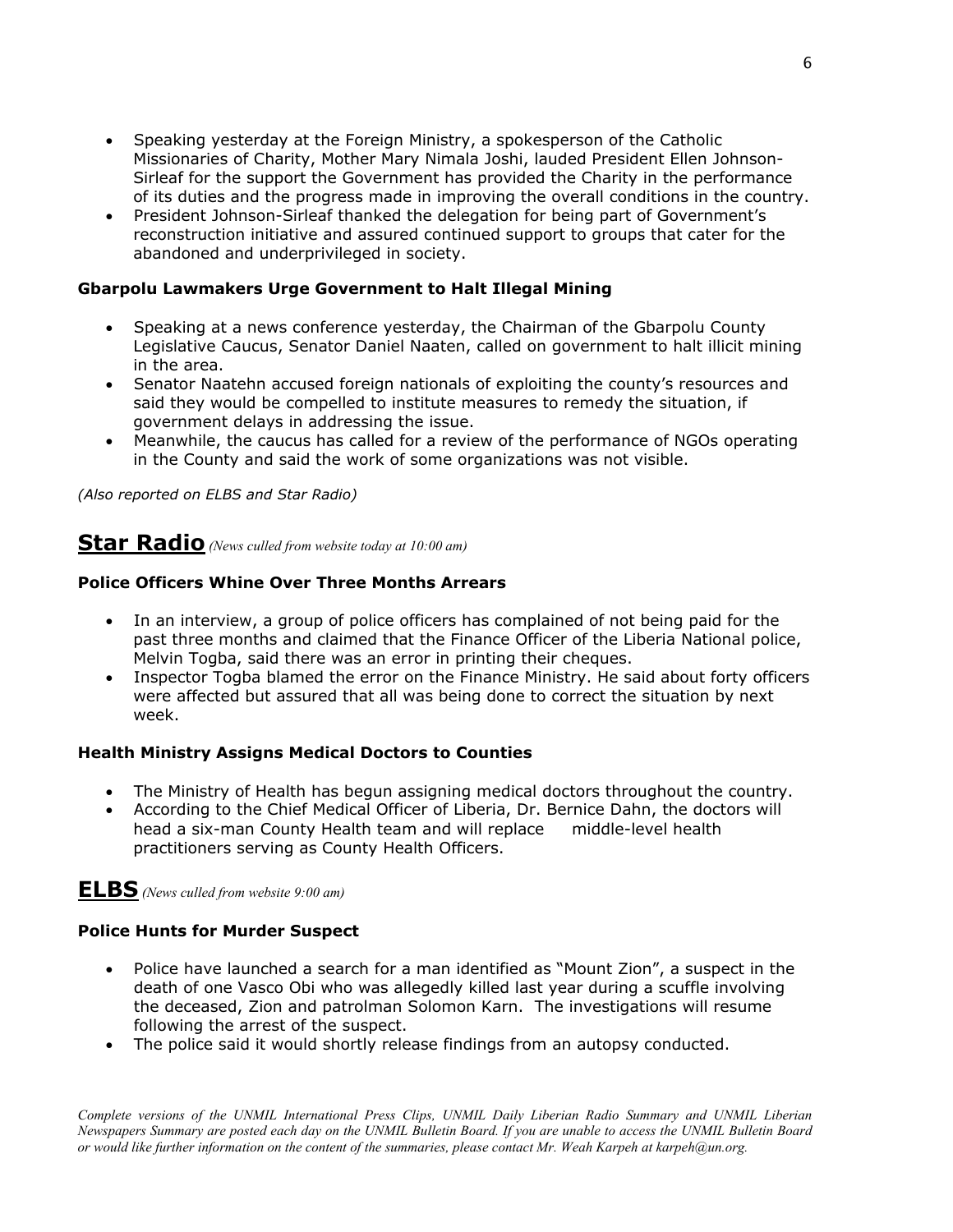- Speaking yesterday at the Foreign Ministry, a spokesperson of the Catholic Missionaries of Charity, Mother Mary Nimala Joshi, lauded President Ellen Johnson-Sirleaf for the support the Government has provided the Charity in the performance of its duties and the progress made in improving the overall conditions in the country.
- President Johnson-Sirleaf thanked the delegation for being part of Government's reconstruction initiative and assured continued support to groups that cater for the abandoned and underprivileged in society.

#### **Gbarpolu Lawmakers Urge Government to Halt Illegal Mining**

- Speaking at a news conference yesterday, the Chairman of the Gbarpolu County Legislative Caucus, Senator Daniel Naaten, called on government to halt illicit mining in the area.
- Senator Naatehn accused foreign nationals of exploiting the county's resources and said they would be compelled to institute measures to remedy the situation, if government delays in addressing the issue.
- Meanwhile, the caucus has called for a review of the performance of NGOs operating in the County and said the work of some organizations was not visible.

*(Also reported on ELBS and Star Radio)*

# **Star Radio** *(News culled from website today at 10:00 am)*

#### **Police Officers Whine Over Three Months Arrears**

- In an interview, a group of police officers has complained of not being paid for the past three months and claimed that the Finance Officer of the Liberia National police, Melvin Togba, said there was an error in printing their cheques.
- Inspector Togba blamed the error on the Finance Ministry. He said about forty officers were affected but assured that all was being done to correct the situation by next week.

#### **Health Ministry Assigns Medical Doctors to Counties**

- The Ministry of Health has begun assigning medical doctors throughout the country.
- According to the Chief Medical Officer of Liberia, Dr. Bernice Dahn, the doctors will head a six-man County Health team and will replace middle-level health practitioners serving as County Health Officers.

### **ELBS** *(News culled from website 9:00 am)*

#### **Police Hunts for Murder Suspect**

- Police have launched a search for a man identified as "Mount Zion", a suspect in the death of one Vasco Obi who was allegedly killed last year during a scuffle involving the deceased, Zion and patrolman Solomon Karn. The investigations will resume following the arrest of the suspect.
- The police said it would shortly release findings from an autopsy conducted.

*Complete versions of the UNMIL International Press Clips, UNMIL Daily Liberian Radio Summary and UNMIL Liberian Newspapers Summary are posted each day on the UNMIL Bulletin Board. If you are unable to access the UNMIL Bulletin Board or would like further information on the content of the summaries, please contact Mr. Weah Karpeh at karpeh@un.org.*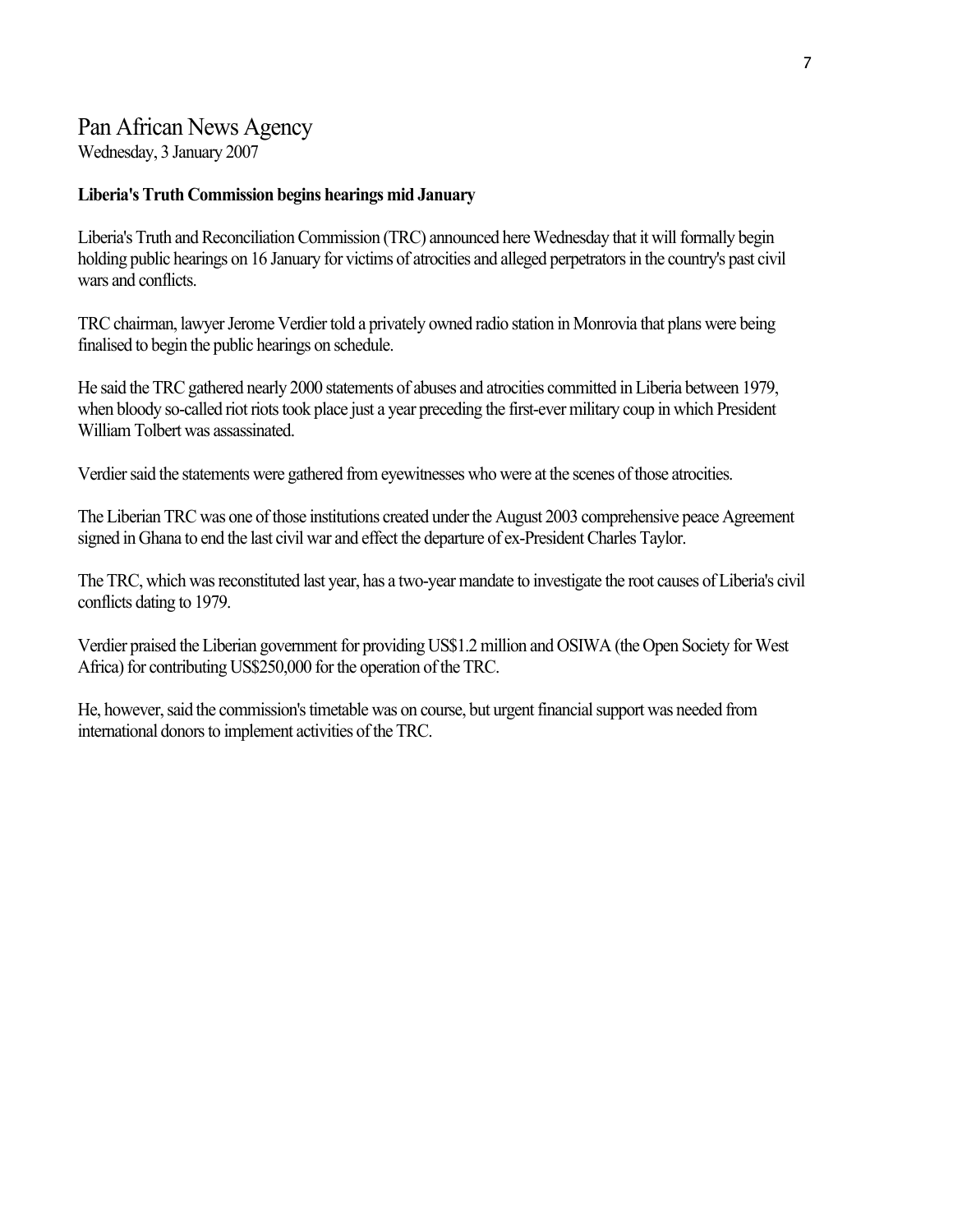# Pan African News Agency

Wednesday, 3 January 2007

#### **Liberia's Truth Commission begins hearings mid January**

Liberia's Truth and Reconciliation Commission (TRC) announced here Wednesday that it will formally begin holding public hearings on 16 January for victims of atrocities and alleged perpetrators in the country's past civil wars and conflicts.

TRC chairman, lawyer Jerome Verdier told a privately owned radio station in Monrovia that plans were being finalised to begin the public hearings on schedule.

He said the TRC gathered nearly 2000 statements of abuses and atrocities committed in Liberia between 1979, when bloody so-called riot riots took place just a year preceding the first-ever military coup in which President William Tolbert was assassinated.

Verdier said the statements were gathered from eyewitnesses who were at the scenes of those atrocities.

The Liberian TRC was one of those institutions created under the August 2003 comprehensive peace Agreement signed in Ghana to end the last civil war and effect the departure of ex-President Charles Taylor.

The TRC, which was reconstituted last year, has a two-year mandate to investigate the root causes of Liberia's civil conflicts dating to 1979.

Verdier praised the Liberian government for providing US\$1.2 million and OSIWA (the Open Society for West Africa) for contributing US\$250,000 for the operation of the TRC.

He, however, said the commission's timetable was on course, but urgent financial support was needed from international donors to implement activities of the TRC.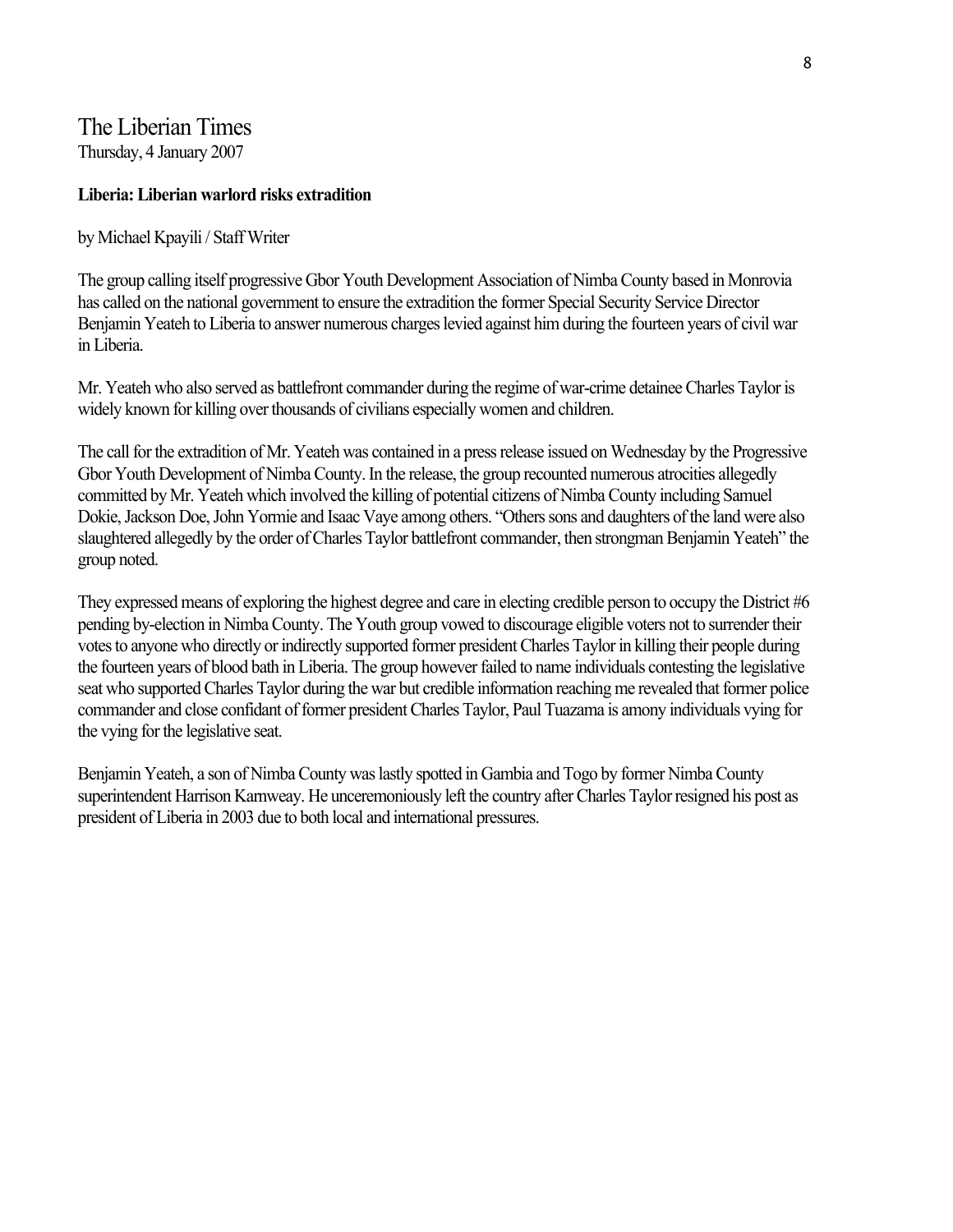### The Liberian Times Thursday, 4 January 2007

#### **Liberia: Liberian warlord risks extradition**

by Michael Kpayili / Staff Writer

The group calling itself progressive Gbor Youth Development Association of Nimba County based in Monrovia has called on the national government to ensure the extradition the former Special Security Service Director Benjamin Yeateh to Liberia to answer numerous charges levied against him during the fourteen years of civil war in Liberia.

Mr. Yeateh who also served as battlefront commander during the regime of war-crime detainee Charles Taylor is widely known for killing over thousands of civilians especially women and children.

The call for the extradition of Mr. Yeateh was contained in a press release issued on Wednesday by the Progressive Gbor Youth Development of Nimba County. In the release, the group recounted numerous atrocities allegedly committed by Mr. Yeateh which involved the killing of potential citizens of Nimba County including Samuel Dokie, Jackson Doe, John Yormie and Isaac Vaye among others. "Others sons and daughters of the land were also slaughtered allegedly by the order of Charles Taylor battlefront commander, then strongman Benjamin Yeateh" the group noted.

They expressed means of exploring the highest degree and care in electing credible person to occupy the District #6 pending by-election in Nimba County. The Youth group vowed to discourage eligible voters not to surrender their votes to anyone who directly or indirectly supported former president Charles Taylor in killing their people during the fourteen years of blood bath in Liberia. The group however failed to name individuals contesting the legislative seat who supported Charles Taylor during the war but credible information reaching me revealed that former police commander and close confidant of former president Charles Taylor, Paul Tuazama is amony individuals vying for the vying for the legislative seat.

Benjamin Yeateh, a son of Nimba County was lastly spotted in Gambia and Togo by former Nimba County superintendent Harrison Karnweay. He unceremoniously left the country after Charles Taylor resigned his post as president of Liberia in 2003 due to both local and international pressures.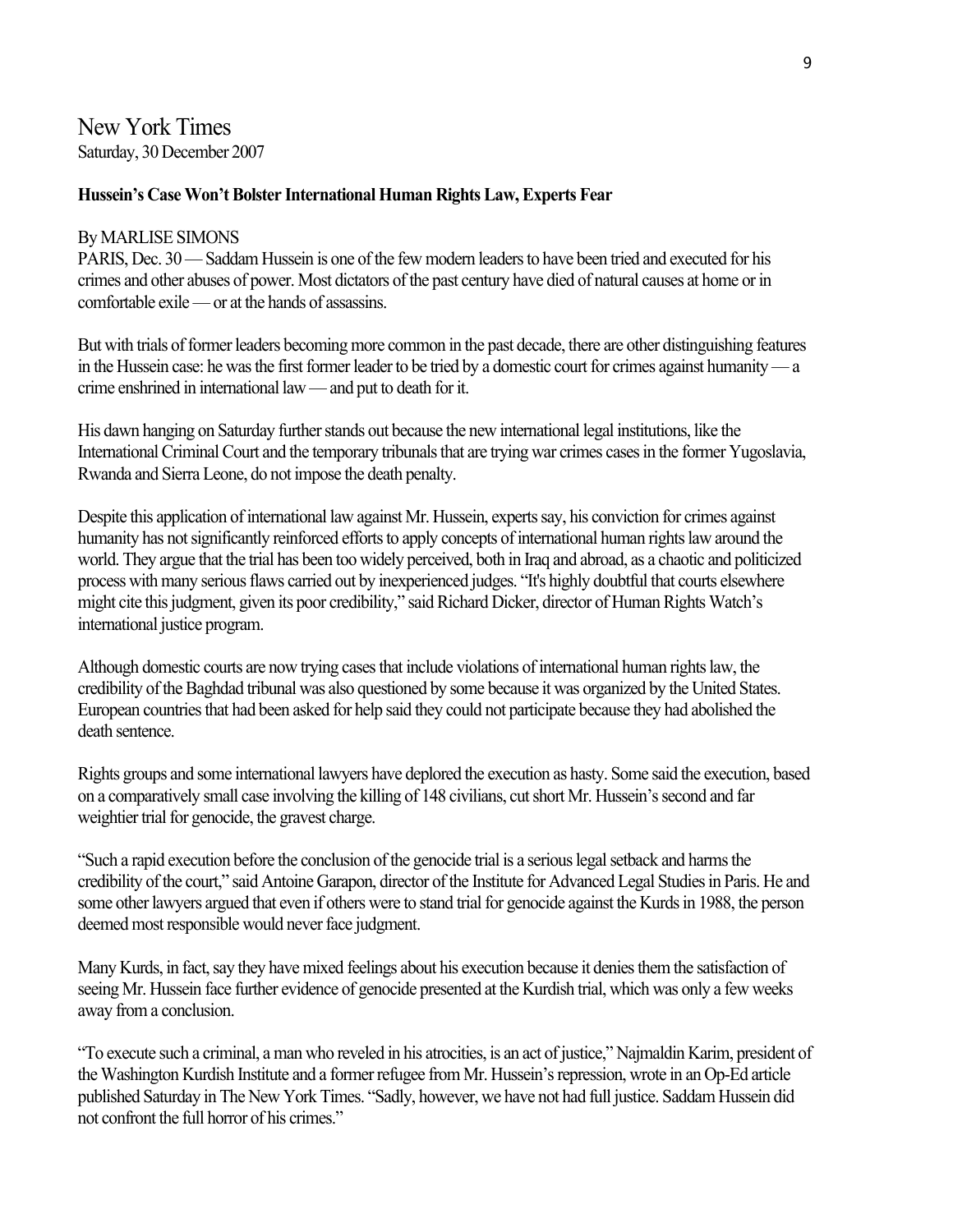### New York Times Saturday, 30 December 2007

#### **Hussein's Case Won't Bolster International Human Rights Law, Experts Fear**

#### By MARLISE SIMONS

PARIS, Dec. 30 — Saddam Hussein is one of the few modern leaders to have been tried and executed for his crimes and other abuses of power. Most dictators of the past century have died of natural causes at home or in comfortable exile — or at the hands of assassins.

But with trials of former leaders becoming more common in the past decade, there are other distinguishing features in the Hussein case: he was the first former leader to be tried by a domestic court for crimes against humanity — a crime enshrined in international law — and put to death for it.

His dawn hanging on Saturday further stands out because the new international legal institutions, like the International Criminal Court and the temporary tribunals that are trying war crimes cases in the former Yugoslavia, Rwanda and Sierra Leone, do not impose the death penalty.

Despite this application of international law against Mr. Hussein, experts say, his conviction for crimes against humanity has not significantly reinforced efforts to apply concepts of international human rights law around the world. They argue that the trial has been too widely perceived, both in Iraq and abroad, as a chaotic and politicized process with many serious flaws carried out by inexperienced judges. "It's highly doubtful that courts elsewhere might cite this judgment, given its poor credibility," said Richard Dicker, director of Human Rights Watch's international justice program.

Although domestic courts are now trying cases that include violations of international human rights law, the credibility of the Baghdad tribunal was also questioned by some because it was organized by the United States. European countries that had been asked for help said they could not participate because they had abolished the death sentence.

Rights groups and some international lawyers have deplored the execution as hasty. Some said the execution, based on a comparatively small case involving the killing of 148 civilians, cut short Mr. Hussein's second and far weightier trial for genocide, the gravest charge.

"Such a rapid execution before the conclusion of the genocide trial is a serious legal setback and harms the credibility of the court," said Antoine Garapon, director of the Institute for Advanced Legal Studies in Paris. He and some other lawyers argued that even if others were to stand trial for genocide against the Kurds in 1988, the person deemed most responsible would never face judgment.

Many Kurds, in fact, say they have mixed feelings about his execution because it denies them the satisfaction of seeing Mr. Hussein face further evidence of genocide presented at the Kurdish trial, which was only a few weeks away from a conclusion.

"To execute such a criminal, a man who reveled in his atrocities, is an act of justice," Najmaldin Karim, president of the Washington Kurdish Institute and a former refugee from Mr. Hussein's repression, wrote in an Op-Ed article published Saturday in The New York Times. "Sadly, however, we have not had full justice. Saddam Hussein did not confront the full horror of his crimes."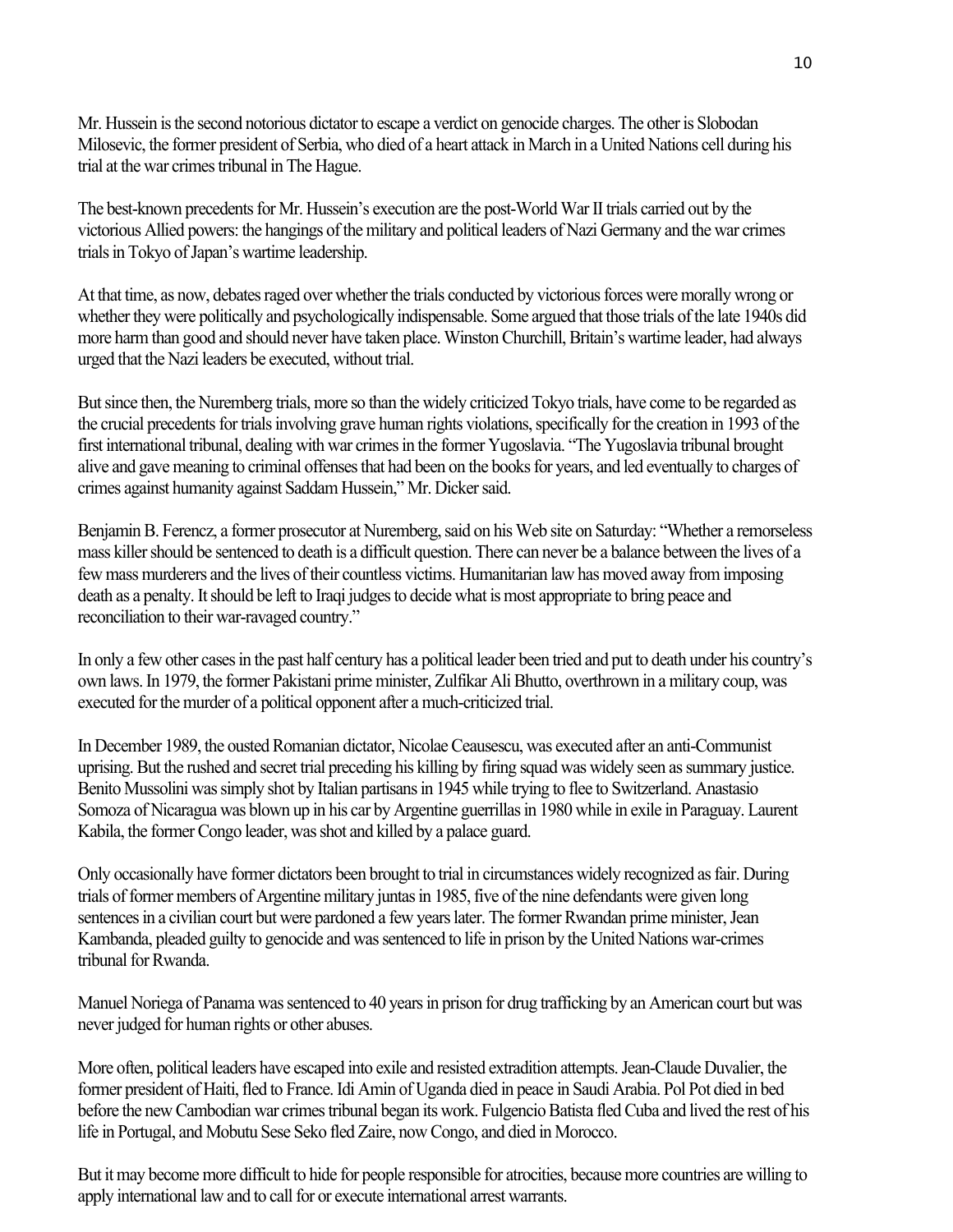Mr. Hussein is the second notorious dictator to escape a verdict on genocide charges. The other is Slobodan Milosevic, the former president of Serbia, who died of a heart attack in March in a United Nations cell during his trial at the war crimes tribunal in The Hague.

The best-known precedents for Mr. Hussein's execution are the post-World War II trials carried out by the victorious Allied powers: the hangings of the military and political leaders of Nazi Germany and the war crimes trials in Tokyo of Japan's wartime leadership.

At that time, as now, debates raged over whether the trials conducted by victorious forces were morally wrong or whether they were politically and psychologically indispensable. Some argued that those trials of the late 1940s did more harm than good and should never have taken place. Winston Churchill, Britain's wartime leader, had always urged that the Nazi leaders be executed, without trial.

But since then, the Nuremberg trials, more so than the widely criticized Tokyo trials, have come to be regarded as the crucial precedents for trials involving grave human rights violations, specifically for the creation in 1993 of the first international tribunal, dealing with war crimes in the former Yugoslavia. "The Yugoslavia tribunal brought alive and gave meaning to criminal offenses that had been on the books for years, and led eventually to charges of crimes against humanity against Saddam Hussein," Mr. Dicker said.

Benjamin B. Ferencz, a former prosecutor at Nuremberg, said on his Web site on Saturday: "Whether a remorseless mass killer should be sentenced to death is a difficult question. There can never be a balance between the lives of a few mass murderers and the lives of their countless victims. Humanitarian law has moved away from imposing death as a penalty. It should be left to Iraqi judges to decide what is most appropriate to bring peace and reconciliation to their war-ravaged country."

In only a few other cases in the past half century has a political leader been tried and put to death under his country's own laws. In 1979, the former Pakistani prime minister, Zulfikar Ali Bhutto, overthrown in a military coup, was executed for the murder of a political opponent after a much-criticized trial.

In December 1989, the ousted Romanian dictator, Nicolae Ceausescu, was executed after an anti-Communist uprising. But the rushed and secret trial preceding his killing by firing squad was widely seen as summary justice. Benito Mussolini was simply shot by Italian partisans in 1945 while trying to flee to Switzerland. Anastasio Somoza of Nicaragua was blown up in his car by Argentine guerrillas in 1980 while in exile in Paraguay. Laurent Kabila, the former Congo leader, was shot and killed by a palace guard.

Only occasionally have former dictators been brought to trial in circumstances widely recognized as fair. During trials of former members of Argentine military juntas in 1985, five of the nine defendants were given long sentences in a civilian court but were pardoned a few years later. The former Rwandan prime minister, Jean Kambanda, pleaded guilty to genocide and was sentenced to life in prison by the United Nations war-crimes tribunal for Rwanda.

Manuel Noriega of Panama was sentenced to 40 years in prison for drug trafficking by an American court but was never judged for human rights or other abuses.

More often, political leaders have escaped into exile and resisted extradition attempts. Jean-Claude Duvalier, the former president of Haiti, fled to France. Idi Amin of Uganda died in peace in Saudi Arabia. Pol Pot died in bed before the new Cambodian war crimes tribunal began its work. Fulgencio Batista fled Cuba and lived the rest of his life in Portugal, and Mobutu Sese Seko fled Zaire, now Congo, and died in Morocco.

But it may become more difficult to hide for people responsible for atrocities, because more countries are willing to apply international law and to call for or execute international arrest warrants.